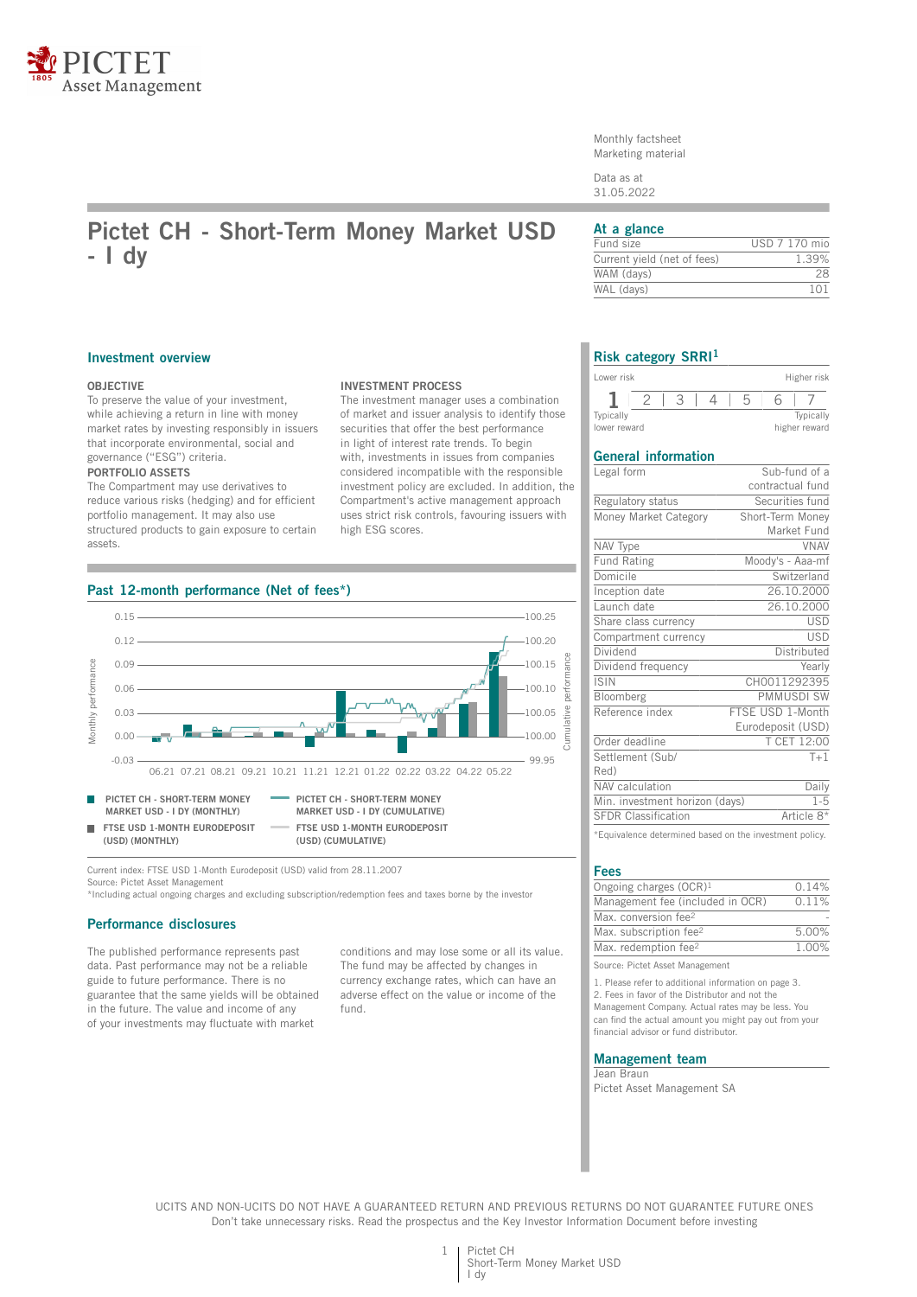

Monthly factsheet Marketing material

Data as at 31.05.2022

# **Pictet CH - Short-Term Money Market USD - I dy**

### **At a glance**

| Fund size                   | USD 7 170 mio   |
|-----------------------------|-----------------|
| Current yield (net of fees) | 1.39%           |
| WAM (davs)                  | 28              |
| WAL (days)                  | 1 <sub>01</sub> |
|                             |                 |

### **Investment overview**

### **OBJECTIVE**

To preserve the value of your investment, while achieving a return in line with money market rates by investing responsibly in issuers that incorporate environmental, social and governance ("ESG") criteria. **PORTFOLIO ASSETS**

The Compartment may use derivatives to reduce various risks (hedging) and for efficient portfolio management. It may also use structured products to gain exposure to certain assets.

### **INVESTMENT PROCESS**

The investment manager uses a combination of market and issuer analysis to identify those securities that offer the best performance in light of interest rate trends. To begin with, investments in issues from companies considered incompatible with the responsible investment policy are excluded. In addition, the Compartment's active management approach uses strict risk controls, favouring issuers with high ESG scores.



Current index: FTSE USD 1-Month Eurodeposit (USD) valid from 28.11.2007 Source: Pictet Asset Management

\*Including actual ongoing charges and excluding subscription/redemption fees and taxes borne by the investor

### **Performance disclosures**

The published performance represents past data. Past performance may not be a reliable guide to future performance. There is no guarantee that the same yields will be obtained in the future. The value and income of any of your investments may fluctuate with market

conditions and may lose some or all its value. The fund may be affected by changes in currency exchange rates, which can have an adverse effect on the value or income of the fund.

### **Risk category SRRI<sup>1</sup>**

| Lower risk   |  |  | Higher risk   |
|--------------|--|--|---------------|
|              |  |  |               |
| Typically    |  |  | Typically     |
| lower reward |  |  | higher reward |

### **General information**

| Legal form                     | Sub-fund of a     |
|--------------------------------|-------------------|
|                                | contractual fund  |
| Regulatory status              | Securities fund   |
| Money Market Category          | Short-Term Money  |
|                                | Market Fund       |
| NAV Type                       | <b>VNAV</b>       |
| <b>Fund Rating</b>             | Moody's - Aaa-mf  |
| Domicile                       | Switzerland       |
| Inception date                 | 26.10.2000        |
| Launch date                    | 26.10.2000        |
| Share class currency           | <b>USD</b>        |
| Compartment currency           | <b>USD</b>        |
| Dividend                       | Distributed       |
| Dividend frequency             | Yearly            |
| <b>ISIN</b>                    | CH0011292395      |
| Bloomberg                      | <b>PMMUSDI SW</b> |
| Reference index                | FTSE USD 1-Month  |
|                                | Eurodeposit (USD) |
| Order deadline                 | T CET 12:00       |
| Settlement (Sub/               | $T+1$             |
| Red)                           |                   |
| NAV calculation                | Daily             |
| Min. investment horizon (days) | $1 - 5$           |
| <b>SFDR Classification</b>     | Article 8*        |
|                                |                   |

\*Equivalence determined based on the investment policy.

#### **Fees**

| Ongoing charges $(OCR)^1$          | 0.14% |
|------------------------------------|-------|
| Management fee (included in OCR)   | 0.11% |
| Max. conversion fee <sup>2</sup>   |       |
| Max. subscription fee <sup>2</sup> | 5.00% |
| Max. redemption fee <sup>2</sup>   | 1.00% |
|                                    |       |

Source: Pictet Asset Management

1. Please refer to additional information on page 3. 2. Fees in favor of the Distributor and not the Management Company. Actual rates may be less. You can find the actual amount you might pay out from your financial advisor or fund distributor.

### **Management team**

Jean Braun Pictet Asset Management SA

UCITS AND NON-UCITS DO NOT HAVE A GUARANTEED RETURN AND PREVIOUS RETURNS DO NOT GUARANTEE FUTURE ONES Don't take unnecessary risks. Read the prospectus and the Key Investor Information Document before investing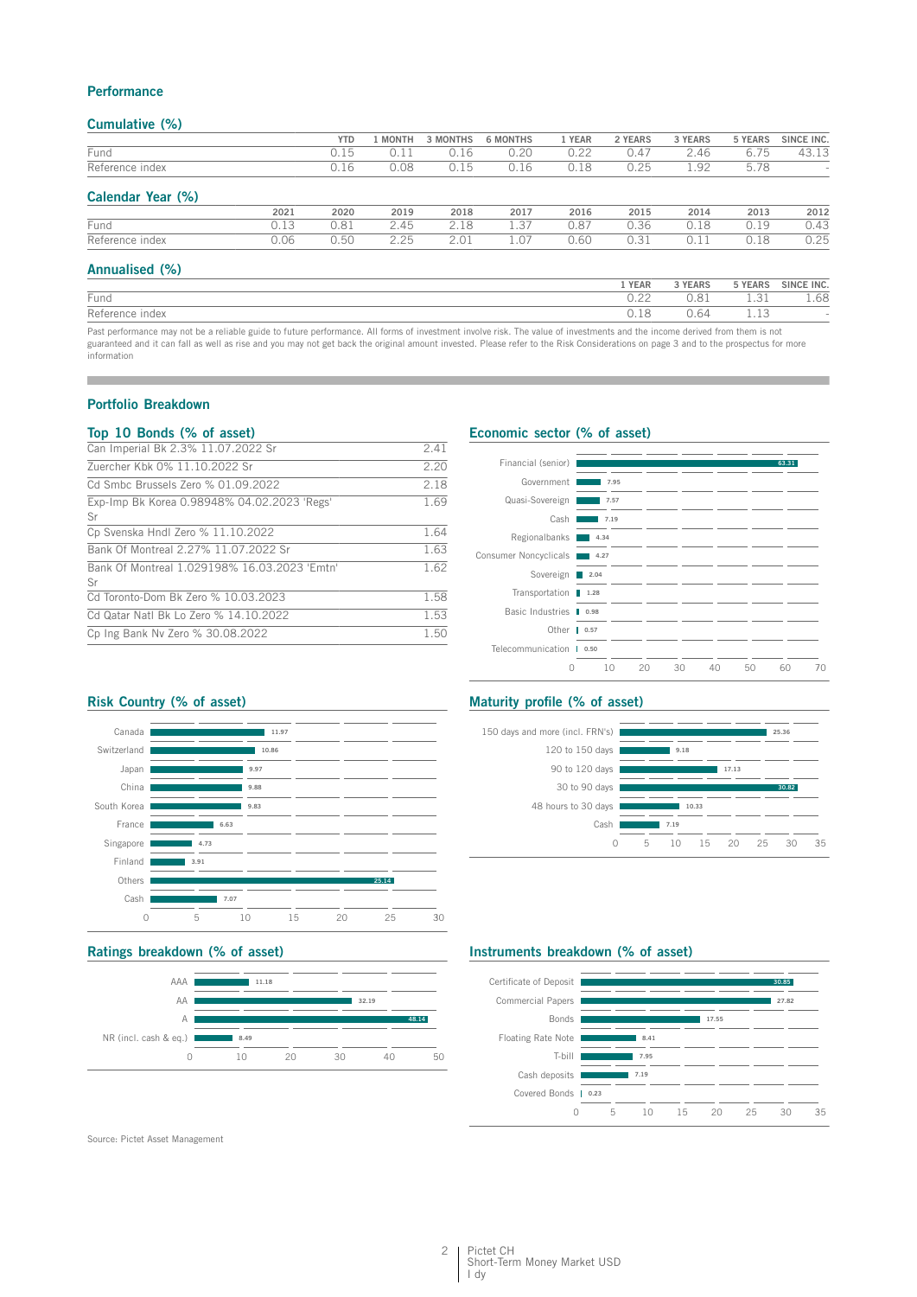### **Performance**

### **Cumulative (%)**

|                   |      | <b>YTD</b> | <b>MONTH</b> | 3 MONTHS | <b>6 MONTHS</b> | 1 YEAR | 2 YEARS | 3 YEARS | 5 YEARS | SINCE INC. |
|-------------------|------|------------|--------------|----------|-----------------|--------|---------|---------|---------|------------|
| Fund              |      | 0.15       | 0.11         | 0.16     | 0.20            | 0.22   | 0.47    | 2.46    | 6.75    | 43.13      |
| Reference index   |      | 0.16       | 0.08         | 0.15     | 0.16            | 0.18   | 0.25    | 1.92    | 5.78    |            |
| Calendar Year (%) |      |            |              |          |                 |        |         |         |         |            |
|                   | 2021 | 2020       | 2019         | 2018     | 2017            | 2016   | 2015    | 2014    | 2013    | 2012       |
| Fund              | 0.13 | 0.81       | 2.45         | 2.18     | 1.37            | 0.87   | 0.36    | 0.18    | 0.19    | 0.43       |
| Reference index   | 0.06 | 0.50       | 2.25         | 2.01     | 1.07            | 0.60   | 0.31    | 0.11    | 0.18    | 0.25       |
| Annualised (%)    |      |            |              |          |                 |        |         |         |         |            |
|                   |      |            |              |          |                 |        | 1 YEAR  | 3 YEARS | 5 YEARS | SINCE INC. |
| Fund              |      |            |              |          |                 |        | 0.22    | 0.81    | 1.31    | 1.68       |

|                                                                                                                                                                            | $\sim$ . $\sim$ $\sim$ | .    | --- | ---- |
|----------------------------------------------------------------------------------------------------------------------------------------------------------------------------|------------------------|------|-----|------|
| Reference index                                                                                                                                                            |                        | 0.64 |     |      |
| Past performance may not be a reliable guide to future performance. All forms of investment involve risk. The value of investments and the income derived from them is not |                        |      |     |      |

guaranteed and it can fall as well as rise and you may not get back the original amount invested. Please refer to the Risk Considerations on page 3 and to the prospectus for more information

### **Portfolio Breakdown**

### **Top 10 Bonds (% of asset)**

| Can Imperial Bk 2.3% 11.07.2022 Sr                 | 2.41 |
|----------------------------------------------------|------|
| Zuercher Kbk 0% 11.10.2022 Sr                      | 2.20 |
| Cd Smbc Brussels Zero % 01.09.2022                 | 2.18 |
| Exp-Imp Bk Korea 0.98948% 04.02.2023 'Regs'<br>Sr  | 1.69 |
| Cp Svenska Hndl Zero % 11.10.2022                  | 1.64 |
| Bank Of Montreal 2.27% 11.07.2022 Sr               | 1.63 |
| Bank Of Montreal 1.029198% 16.03.2023 'Emtn'<br>Sr | 1.62 |
| Cd Toronto-Dom Bk Zero % 10.03.2023                | 1.58 |
| Cd Qatar Natl Bk Lo Zero % 14.10.2022              | 1.53 |
| Cp Ing Bank Nv Zero % 30.08.2022                   | 1.50 |
|                                                    |      |

### **Economic sector (% of asset)**

| Financial (senior)        |      |    |    |    |    | 63.31 |    |
|---------------------------|------|----|----|----|----|-------|----|
| Government                | 7.95 |    |    |    |    |       |    |
| Quasi-Sovereign           | 7.57 |    |    |    |    |       |    |
| Cash                      | 7.19 |    |    |    |    |       |    |
| Regionalbanks             | 4.34 |    |    |    |    |       |    |
| Consumer Noncyclicals     | 4.27 |    |    |    |    |       |    |
| Sovereign 2.04            |      |    |    |    |    |       |    |
| Transportation 1.28       |      |    |    |    |    |       |    |
| Basic Industries   0.98   |      |    |    |    |    |       |    |
| Other $\blacksquare$ 0.57 |      |    |    |    |    |       |    |
| Telecommunication   0.50  |      |    |    |    |    |       |    |
| $\Omega$                  | 10   | 20 | 30 | 40 | 50 | 60    | 70 |

### **Risk Country (% of asset)**



### **Ratings breakdown (% of asset)**



### **Maturity profile (% of asset)**



## **Instruments breakdown (% of asset)**



Source: Pictet Asset Management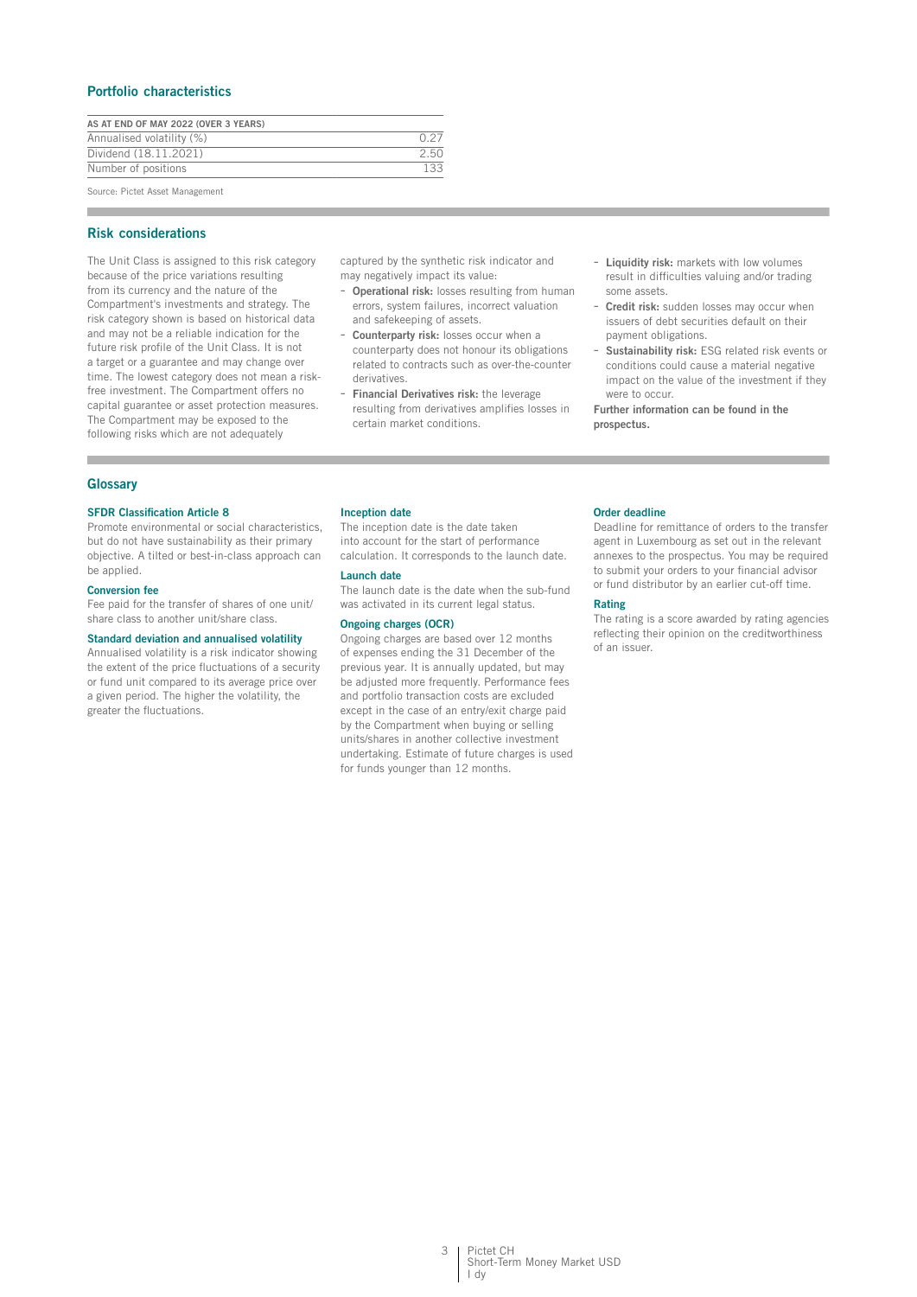### **Portfolio characteristics**

| AS AT END OF MAY 2022 (OVER 3 YEARS) |      |
|--------------------------------------|------|
| Annualised volatility (%)            |      |
| Dividend (18.11.2021)                | 2.50 |
| Number of positions                  | 133  |
| Course, Distrit Assat Monographert   |      |

Source: Pictet Asset Management

### **Risk considerations**

The Unit Class is assigned to this risk category because of the price variations resulting from its currency and the nature of the Compartment's investments and strategy. The risk category shown is based on historical data and may not be a reliable indication for the future risk profile of the Unit Class. It is not a target or a guarantee and may change over time. The lowest category does not mean a riskfree investment. The Compartment offers no capital guarantee or asset protection measures. The Compartment may be exposed to the following risks which are not adequately

captured by the synthetic risk indicator and may negatively impact its value:

- **Operational risk:** losses resulting from human errors, system failures, incorrect valuation and safekeeping of assets.
- Counterparty risk: losses occur when a counterparty does not honour its obligations related to contracts such as over-the-counter derivatives.
- **Financial Derivatives risk:** the leverage resulting from derivatives amplifies losses in certain market conditions.
- **Liquidity risk:** markets with low volumes result in difficulties valuing and/or trading some assets.
- **Credit risk:** sudden losses may occur when issuers of debt securities default on their payment obligations.
- **Sustainability risk:** ESG related risk events or conditions could cause a material negative impact on the value of the investment if they were to occur.

**Further information can be found in the prospectus.**

### **Glossary**

### **SFDR Classification Article 8**

Promote environmental or social characteristics, but do not have sustainability as their primary objective. A tilted or best-in-class approach can be applied.

#### **Conversion fee**

Fee paid for the transfer of shares of one unit/ share class to another unit/share class.

#### **Standard deviation and annualised volatility**

Annualised volatility is a risk indicator showing the extent of the price fluctuations of a security or fund unit compared to its average price over a given period. The higher the volatility, the greater the fluctuations.

#### **Inception date**

The inception date is the date taken into account for the start of performance calculation. It corresponds to the launch date.

### **Launch date**

The launch date is the date when the sub-fund was activated in its current legal status.

### **Ongoing charges (OCR)**

Ongoing charges are based over 12 months of expenses ending the 31 December of the previous year. It is annually updated, but may be adjusted more frequently. Performance fees and portfolio transaction costs are excluded except in the case of an entry/exit charge paid by the Compartment when buying or selling units/shares in another collective investment undertaking. Estimate of future charges is used for funds younger than 12 months.

#### **Order deadline**

Deadline for remittance of orders to the transfer agent in Luxembourg as set out in the relevant annexes to the prospectus. You may be required to submit your orders to your financial advisor or fund distributor by an earlier cut-off time.

### **Rating**

The rating is a score awarded by rating agencies reflecting their opinion on the creditworthiness of an issuer.